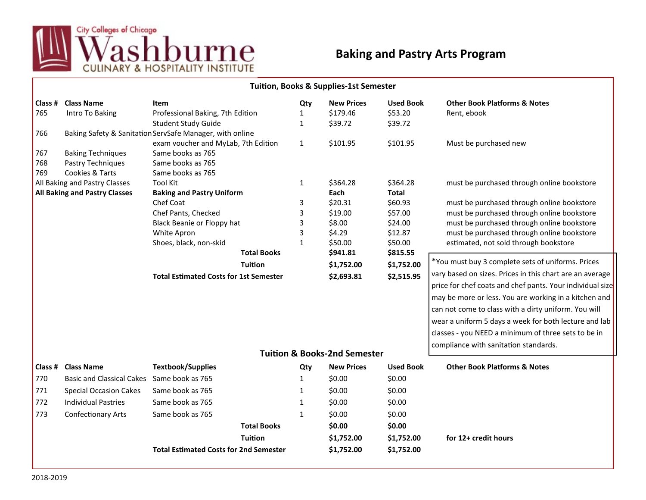

## **Baking and Pastry Arts Program**

| <b>Tuition, Books &amp; Supplies-1st Semester</b> |                                               |                                               |              |                   |                  |                                                           |  |  |  |  |  |
|---------------------------------------------------|-----------------------------------------------|-----------------------------------------------|--------------|-------------------|------------------|-----------------------------------------------------------|--|--|--|--|--|
| Class #                                           | <b>Class Name</b>                             | Item                                          | Qty          | <b>New Prices</b> | <b>Used Book</b> | <b>Other Book Platforms &amp; Notes</b>                   |  |  |  |  |  |
| 765                                               | Intro To Baking                               | Professional Baking, 7th Edition              | 1            | \$179.46          | \$53.20          | Rent, ebook                                               |  |  |  |  |  |
|                                                   |                                               | <b>Student Study Guide</b>                    | 1            | \$39.72           | \$39.72          |                                                           |  |  |  |  |  |
| 766                                               |                                               |                                               |              |                   |                  |                                                           |  |  |  |  |  |
|                                                   |                                               | exam voucher and MyLab, 7th Edition           | $\mathbf{1}$ | \$101.95          | \$101.95         | Must be purchased new                                     |  |  |  |  |  |
| 767                                               | <b>Baking Techniques</b>                      | Same books as 765                             |              |                   |                  |                                                           |  |  |  |  |  |
| 768                                               | Pastry Techniques                             | Same books as 765                             |              |                   |                  |                                                           |  |  |  |  |  |
| 769                                               | Cookies & Tarts                               | Same books as 765                             |              |                   |                  |                                                           |  |  |  |  |  |
|                                                   | All Baking and Pastry Classes                 | <b>Tool Kit</b>                               | 1            | \$364.28          | \$364.28         | must be purchased through online bookstore                |  |  |  |  |  |
| <b>All Baking and Pastry Classes</b>              |                                               | <b>Baking and Pastry Uniform</b>              |              | Each              | <b>Total</b>     |                                                           |  |  |  |  |  |
|                                                   |                                               | Chef Coat                                     | 3            | \$20.31           | \$60.93          | must be purchased through online bookstore                |  |  |  |  |  |
|                                                   |                                               | Chef Pants, Checked                           | 3            | \$19.00           | \$57.00          | must be purchased through online bookstore                |  |  |  |  |  |
|                                                   |                                               | Black Beanie or Floppy hat                    | 3            | \$8.00            | \$24.00          | must be purchased through online bookstore                |  |  |  |  |  |
|                                                   |                                               | White Apron                                   | 3            | \$4.29            | \$12.87          | must be purchased through online bookstore                |  |  |  |  |  |
|                                                   |                                               | Shoes, black, non-skid                        | $\mathbf{1}$ | \$50.00           | \$50.00          | estimated, not sold through bookstore                     |  |  |  |  |  |
|                                                   |                                               | <b>Total Books</b>                            |              | \$941.81          | \$815.55         |                                                           |  |  |  |  |  |
|                                                   |                                               | <b>Tuition</b>                                |              | \$1,752.00        | \$1,752.00       | *You must buy 3 complete sets of uniforms. Prices         |  |  |  |  |  |
|                                                   | <b>Total Estimated Costs for 1st Semester</b> |                                               |              | \$2,693.81        | \$2,515.95       | vary based on sizes. Prices in this chart are an average  |  |  |  |  |  |
|                                                   |                                               |                                               |              |                   |                  | price for chef coats and chef pants. Your individual size |  |  |  |  |  |
|                                                   |                                               |                                               |              |                   |                  | may be more or less. You are working in a kitchen and     |  |  |  |  |  |
|                                                   |                                               |                                               |              |                   |                  | can not come to class with a dirty uniform. You will      |  |  |  |  |  |
|                                                   |                                               |                                               |              |                   |                  |                                                           |  |  |  |  |  |
|                                                   |                                               |                                               |              |                   |                  | wear a uniform 5 days a week for both lecture and lab     |  |  |  |  |  |
|                                                   |                                               |                                               |              |                   |                  | classes - you NEED a minimum of three sets to be in       |  |  |  |  |  |
|                                                   |                                               |                                               |              |                   |                  | compliance with sanitation standards.                     |  |  |  |  |  |
| <b>Tuition &amp; Books-2nd Semester</b>           |                                               |                                               |              |                   |                  |                                                           |  |  |  |  |  |
| Class #                                           | <b>Class Name</b>                             | <b>Textbook/Supplies</b>                      | Qty          | <b>New Prices</b> | <b>Used Book</b> | <b>Other Book Platforms &amp; Notes</b>                   |  |  |  |  |  |
| 770                                               | Basic and Classical Cakes Same book as 765    |                                               | 1            | \$0.00            | \$0.00           |                                                           |  |  |  |  |  |
| 771                                               | <b>Special Occasion Cakes</b>                 | Same book as 765                              | 1            | \$0.00            | \$0.00           |                                                           |  |  |  |  |  |
| 772                                               | <b>Individual Pastries</b>                    | Same book as 765                              | 1            | \$0.00            | \$0.00           |                                                           |  |  |  |  |  |
| 773                                               | <b>Confectionary Arts</b>                     | Same book as 765                              | $\mathbf{1}$ | \$0.00            | \$0.00           |                                                           |  |  |  |  |  |
|                                                   |                                               | <b>Total Books</b>                            |              | \$0.00            | \$0.00           |                                                           |  |  |  |  |  |
|                                                   |                                               | <b>Tuition</b>                                |              | \$1,752.00        | \$1,752.00       | for 12+ credit hours                                      |  |  |  |  |  |
|                                                   |                                               | <b>Total Estimated Costs for 2nd Semester</b> |              | \$1,752.00        | \$1,752.00       |                                                           |  |  |  |  |  |